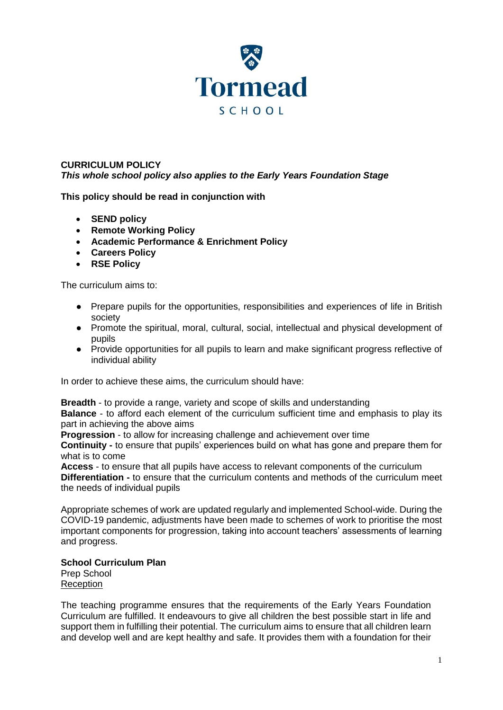

## **CURRICULUM POLICY** *This whole school policy also applies to the Early Years Foundation Stage*

**This policy should be read in conjunction with**

- **SEND policy**
- **Remote Working Policy**
- **Academic Performance & Enrichment Policy**
- **Careers Policy**
- **RSE Policy**

The curriculum aims to:

- Prepare pupils for the opportunities, responsibilities and experiences of life in British society
- Promote the spiritual, moral, cultural, social, intellectual and physical development of pupils
- Provide opportunities for all pupils to learn and make significant progress reflective of individual ability

In order to achieve these aims, the curriculum should have:

**Breadth** - to provide a range, variety and scope of skills and understanding

**Balance** - to afford each element of the curriculum sufficient time and emphasis to play its part in achieving the above aims

**Progression** - to allow for increasing challenge and achievement over time

**Continuity -** to ensure that pupils' experiences build on what has gone and prepare them for what is to come

**Access** - to ensure that all pupils have access to relevant components of the curriculum **Differentiation -** to ensure that the curriculum contents and methods of the curriculum meet the needs of individual pupils

Appropriate schemes of work are updated regularly and implemented School-wide. During the COVID-19 pandemic, adjustments have been made to schemes of work to prioritise the most important components for progression, taking into account teachers' assessments of learning and progress.

## **School Curriculum Plan**

Prep School Reception

The teaching programme ensures that the requirements of the Early Years Foundation Curriculum are fulfilled. It endeavours to give all children the best possible start in life and support them in fulfilling their potential. The curriculum aims to ensure that all children learn and develop well and are kept healthy and safe. It provides them with a foundation for their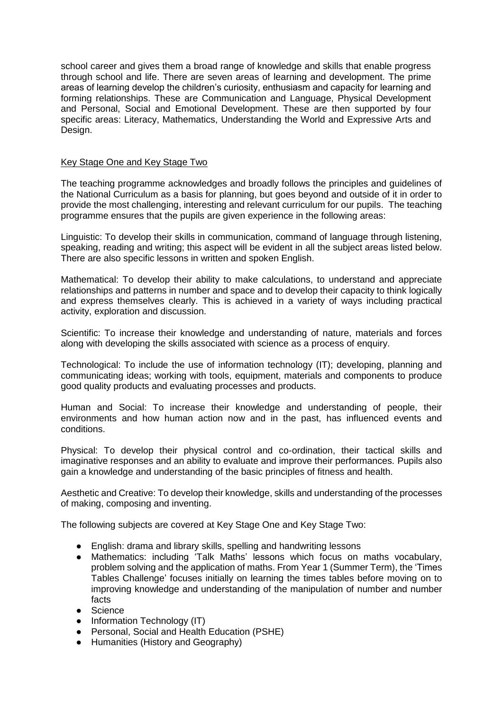school career and gives them a broad range of knowledge and skills that enable progress through school and life. There are seven areas of learning and development. The prime areas of learning develop the children's curiosity, enthusiasm and capacity for learning and forming relationships. These are Communication and Language, Physical Development and Personal, Social and Emotional Development. These are then supported by four specific areas: Literacy, Mathematics, Understanding the World and Expressive Arts and Design.

### Key Stage One and Key Stage Two

The teaching programme acknowledges and broadly follows the principles and guidelines of the National Curriculum as a basis for planning, but goes beyond and outside of it in order to provide the most challenging, interesting and relevant curriculum for our pupils. The teaching programme ensures that the pupils are given experience in the following areas:

Linguistic: To develop their skills in communication, command of language through listening, speaking, reading and writing; this aspect will be evident in all the subject areas listed below. There are also specific lessons in written and spoken English.

Mathematical: To develop their ability to make calculations, to understand and appreciate relationships and patterns in number and space and to develop their capacity to think logically and express themselves clearly. This is achieved in a variety of ways including practical activity, exploration and discussion.

Scientific: To increase their knowledge and understanding of nature, materials and forces along with developing the skills associated with science as a process of enquiry.

Technological: To include the use of information technology (IT); developing, planning and communicating ideas; working with tools, equipment, materials and components to produce good quality products and evaluating processes and products.

Human and Social: To increase their knowledge and understanding of people, their environments and how human action now and in the past, has influenced events and conditions.

Physical: To develop their physical control and co-ordination, their tactical skills and imaginative responses and an ability to evaluate and improve their performances. Pupils also gain a knowledge and understanding of the basic principles of fitness and health.

Aesthetic and Creative: To develop their knowledge, skills and understanding of the processes of making, composing and inventing.

The following subjects are covered at Key Stage One and Key Stage Two:

- English: drama and library skills, spelling and handwriting lessons
- Mathematics: including 'Talk Maths' lessons which focus on maths vocabulary, problem solving and the application of maths. From Year 1 (Summer Term), the 'Times Tables Challenge' focuses initially on learning the times tables before moving on to improving knowledge and understanding of the manipulation of number and number facts
- Science
- Information Technology (IT)
- Personal, Social and Health Education (PSHE)
- Humanities (History and Geography)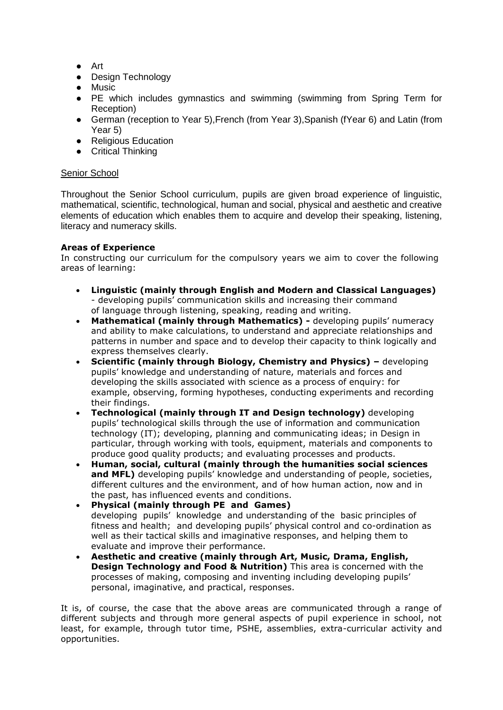- Art
- Design Technology
- Music
- PE which includes gymnastics and swimming (swimming from Spring Term for Reception)
- German (reception to Year 5), French (from Year 3), Spanish (fYear 6) and Latin (from Year 5)
- Religious Education
- Critical Thinking

## Senior School

Throughout the Senior School curriculum, pupils are given broad experience of linguistic, mathematical, scientific, technological, human and social, physical and aesthetic and creative elements of education which enables them to acquire and develop their speaking, listening, literacy and numeracy skills.

## **Areas of Experience**

In constructing our curriculum for the compulsory years we aim to cover the following areas of learning:

- **Linguistic (mainly through English and Modern and Classical Languages)**  - developing pupils' communication skills and increasing their command of language through listening, speaking, reading and writing.
- **Mathematical (mainly through Mathematics) -** developing pupils' numeracy and ability to make calculations, to understand and appreciate relationships and patterns in number and space and to develop their capacity to think logically and express themselves clearly.
- **Scientific (mainly through Biology, Chemistry and Physics) –** developing pupils' knowledge and understanding of nature, materials and forces and developing the skills associated with science as a process of enquiry: for example, observing, forming hypotheses, conducting experiments and recording their findings.
- **Technological (mainly through IT and Design technology)** developing pupils' technological skills through the use of information and communication technology (IT); developing, planning and communicating ideas; in Design in particular, through working with tools, equipment, materials and components to produce good quality products; and evaluating processes and products.
- **Human, social, cultural (mainly through the humanities social sciences**  and MFL) developing pupils' knowledge and understanding of people, societies, different cultures and the environment, and of how human action, now and in the past, has influenced events and conditions.
- **Physical (mainly through PE and Games)**  developing pupils' knowledge and understanding of the basic principles of fitness and health; and developing pupils' physical control and co-ordination as well as their tactical skills and imaginative responses, and helping them to evaluate and improve their performance.
- **Aesthetic and creative (mainly through Art, Music, Drama, English, Design Technology and Food & Nutrition)** This area is concerned with the processes of making, composing and inventing including developing pupils' personal, imaginative, and practical, responses.

It is, of course, the case that the above areas are communicated through a range of different subjects and through more general aspects of pupil experience in school, not least, for example, through tutor time, PSHE, assemblies, extra-curricular activity and opportunities.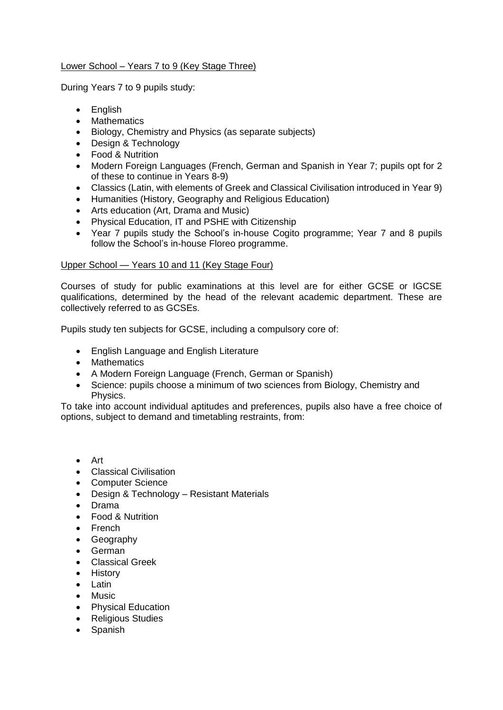# Lower School – Years 7 to 9 (Key Stage Three)

During Years 7 to 9 pupils study:

- English
- Mathematics
- Biology, Chemistry and Physics (as separate subjects)
- Design & Technology
- Food & Nutrition
- Modern Foreign Languages (French, German and Spanish in Year 7; pupils opt for 2 of these to continue in Years 8-9)
- Classics (Latin, with elements of Greek and Classical Civilisation introduced in Year 9)
- Humanities (History, Geography and Religious Education)
- Arts education (Art, Drama and Music)
- Physical Education, IT and PSHE with Citizenship
- Year 7 pupils study the School's in-house Cogito programme; Year 7 and 8 pupils follow the School's in-house Floreo programme.

# Upper School — Years 10 and 11 (Key Stage Four)

Courses of study for public examinations at this level are for either GCSE or IGCSE qualifications, determined by the head of the relevant academic department. These are collectively referred to as GCSEs.

Pupils study ten subjects for GCSE, including a compulsory core of:

- English Language and English Literature
- Mathematics
- A Modern Foreign Language (French, German or Spanish)
- Science: pupils choose a minimum of two sciences from Biology, Chemistry and Physics.

To take into account individual aptitudes and preferences, pupils also have a free choice of options, subject to demand and timetabling restraints, from:

- Art
- Classical Civilisation
- Computer Science
- Design & Technology Resistant Materials
- Drama
- Food & Nutrition
- French
- **Geography**
- German
- Classical Greek
- History
- Latin
- **Music**
- Physical Education
- Religious Studies
- Spanish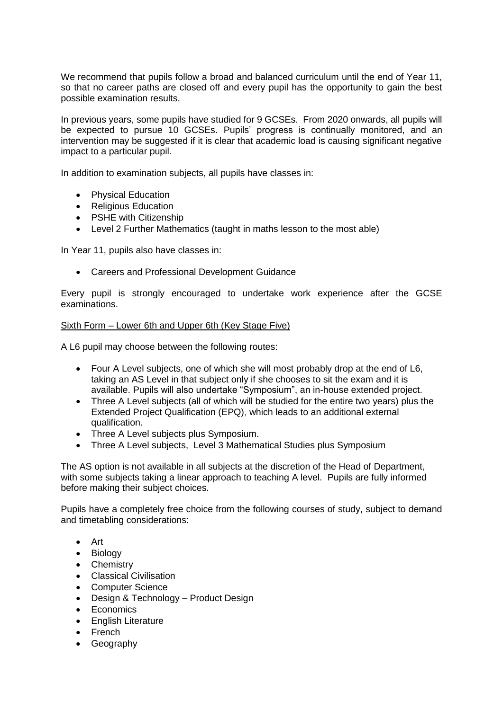We recommend that pupils follow a broad and balanced curriculum until the end of Year 11, so that no career paths are closed off and every pupil has the opportunity to gain the best possible examination results.

In previous years, some pupils have studied for 9 GCSEs. From 2020 onwards, all pupils will be expected to pursue 10 GCSEs. Pupils' progress is continually monitored, and an intervention may be suggested if it is clear that academic load is causing significant negative impact to a particular pupil.

In addition to examination subjects, all pupils have classes in:

- Physical Education
- Religious Education
- PSHE with Citizenship
- Level 2 Further Mathematics (taught in maths lesson to the most able)

In Year 11, pupils also have classes in:

• Careers and Professional Development Guidance

Every pupil is strongly encouraged to undertake work experience after the GCSE examinations.

### Sixth Form – Lower 6th and Upper 6th (Key Stage Five)

A L6 pupil may choose between the following routes:

- Four A Level subjects, one of which she will most probably drop at the end of L6. taking an AS Level in that subject only if she chooses to sit the exam and it is available. Pupils will also undertake "Symposium", an in-house extended project.
- Three A Level subjects (all of which will be studied for the entire two years) plus the Extended Project Qualification (EPQ), which leads to an additional external qualification.
- Three A Level subjects plus Symposium.
- Three A Level subjects, Level 3 Mathematical Studies plus Symposium

The AS option is not available in all subjects at the discretion of the Head of Department, with some subjects taking a linear approach to teaching A level. Pupils are fully informed before making their subject choices.

Pupils have a completely free choice from the following courses of study, subject to demand and timetabling considerations:

- Art
- Biology
- Chemistry
- Classical Civilisation
- Computer Science
- Design & Technology Product Design
- Economics
- English Literature
- French
- Geography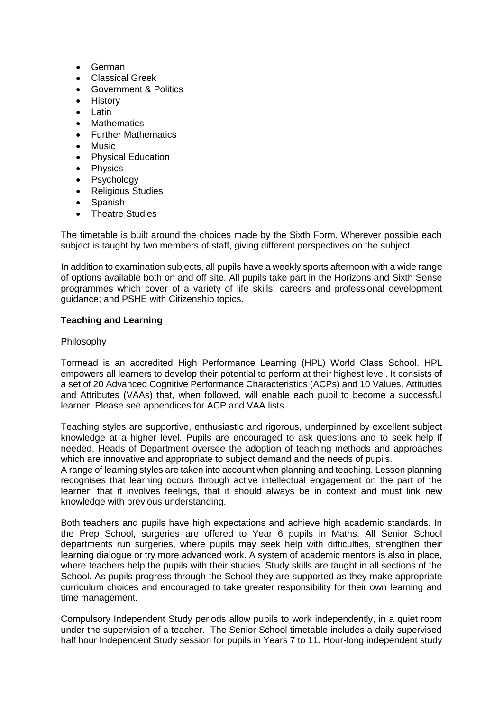- German
- Classical Greek
- Government & Politics
- History
- Latin
- **Mathematics**
- Further Mathematics
- Music
- Physical Education
- Physics
- Psychology
- Religious Studies
- Spanish
- Theatre Studies

The timetable is built around the choices made by the Sixth Form. Wherever possible each subject is taught by two members of staff, giving different perspectives on the subject.

In addition to examination subjects, all pupils have a weekly sports afternoon with a wide range of options available both on and off site. All pupils take part in the Horizons and Sixth Sense programmes which cover of a variety of life skills; careers and professional development guidance; and PSHE with Citizenship topics.

# **Teaching and Learning**

### Philosophy

Tormead is an accredited High Performance Learning (HPL) World Class School. HPL empowers all learners to develop their potential to perform at their highest level. It consists of a set of 20 Advanced Cognitive Performance Characteristics (ACPs) and 10 Values, Attitudes and Attributes (VAAs) that, when followed, will enable each pupil to become a successful learner. Please see appendices for ACP and VAA lists.

Teaching styles are supportive, enthusiastic and rigorous, underpinned by excellent subject knowledge at a higher level. Pupils are encouraged to ask questions and to seek help if needed. Heads of Department oversee the adoption of teaching methods and approaches which are innovative and appropriate to subject demand and the needs of pupils.

A range of learning styles are taken into account when planning and teaching. Lesson planning recognises that learning occurs through active intellectual engagement on the part of the learner, that it involves feelings, that it should always be in context and must link new knowledge with previous understanding.

Both teachers and pupils have high expectations and achieve high academic standards. In the Prep School, surgeries are offered to Year 6 pupils in Maths. All Senior School departments run surgeries, where pupils may seek help with difficulties, strengthen their learning dialogue or try more advanced work. A system of academic mentors is also in place, where teachers help the pupils with their studies. Study skills are taught in all sections of the School. As pupils progress through the School they are supported as they make appropriate curriculum choices and encouraged to take greater responsibility for their own learning and time management.

Compulsory Independent Study periods allow pupils to work independently, in a quiet room under the supervision of a teacher. The Senior School timetable includes a daily supervised half hour Independent Study session for pupils in Years 7 to 11. Hour-long independent study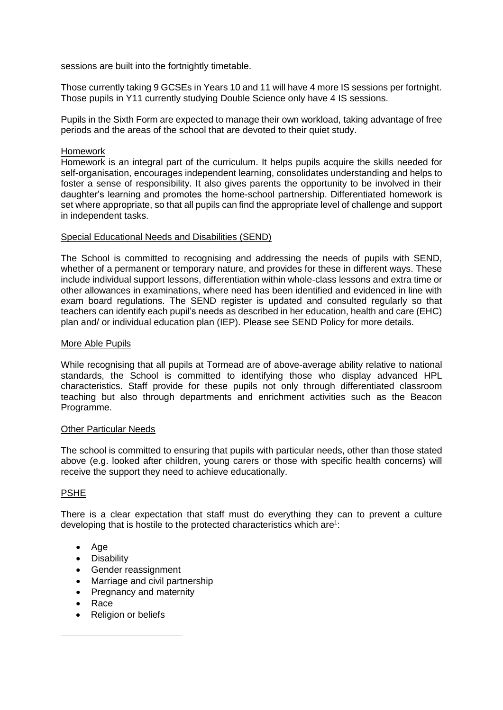sessions are built into the fortnightly timetable.

Those currently taking 9 GCSEs in Years 10 and 11 will have 4 more IS sessions per fortnight. Those pupils in Y11 currently studying Double Science only have 4 IS sessions.

Pupils in the Sixth Form are expected to manage their own workload, taking advantage of free periods and the areas of the school that are devoted to their quiet study.

#### Homework

Homework is an integral part of the curriculum. It helps pupils acquire the skills needed for self-organisation, encourages independent learning, consolidates understanding and helps to foster a sense of responsibility. It also gives parents the opportunity to be involved in their daughter's learning and promotes the home-school partnership. Differentiated homework is set where appropriate, so that all pupils can find the appropriate level of challenge and support in independent tasks.

### Special Educational Needs and Disabilities (SEND)

The School is committed to recognising and addressing the needs of pupils with SEND, whether of a permanent or temporary nature, and provides for these in different ways. These include individual support lessons, differentiation within whole-class lessons and extra time or other allowances in examinations, where need has been identified and evidenced in line with exam board regulations. The SEND register is updated and consulted regularly so that teachers can identify each pupil's needs as described in her education, health and care (EHC) plan and/ or individual education plan (IEP). Please see SEND Policy for more details.

### More Able Pupils

While recognising that all pupils at Tormead are of above-average ability relative to national standards, the School is committed to identifying those who display advanced HPL characteristics. Staff provide for these pupils not only through differentiated classroom teaching but also through departments and enrichment activities such as the Beacon Programme.

#### Other Particular Needs

The school is committed to ensuring that pupils with particular needs, other than those stated above (e.g. looked after children, young carers or those with specific health concerns) will receive the support they need to achieve educationally.

## PSHE

There is a clear expectation that staff must do everything they can to prevent a culture developing that is hostile to the protected characteristics which are<sup>1</sup>:

- Age
- **Disability**
- Gender reassignment
- Marriage and civil partnership
- Pregnancy and maternity
- Race

 $\overline{a}$ 

• Religion or beliefs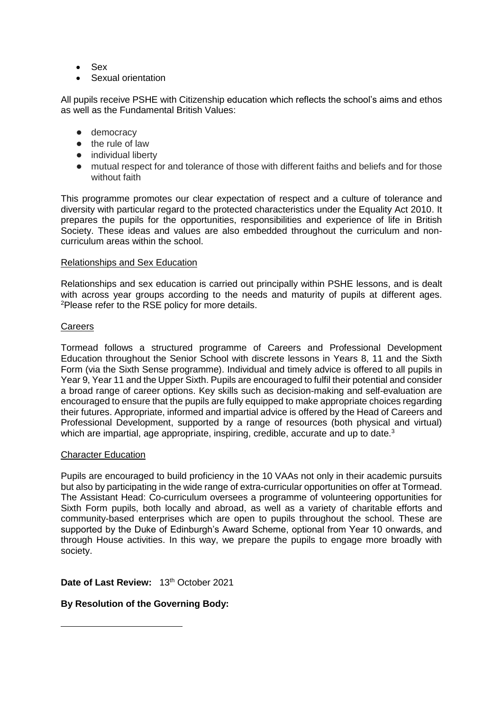- Sex
- Sexual orientation

All pupils receive PSHE with Citizenship education which reflects the school's aims and ethos as well as the Fundamental British Values:

- democracy
- the rule of law
- individual liberty
- mutual respect for and tolerance of those with different faiths and beliefs and for those without faith

This programme promotes our clear expectation of respect and a culture of tolerance and diversity with particular regard to the protected characteristics under the Equality Act 2010. It prepares the pupils for the opportunities, responsibilities and experience of life in British Society. These ideas and values are also embedded throughout the curriculum and noncurriculum areas within the school.

#### Relationships and Sex Education

Relationships and sex education is carried out principally within PSHE lessons, and is dealt with across year groups according to the needs and maturity of pupils at different ages. <sup>2</sup>Please refer to the RSE policy for more details.

#### **Careers**

Tormead follows a structured programme of Careers and Professional Development Education throughout the Senior School with discrete lessons in Years 8, 11 and the Sixth Form (via the Sixth Sense programme). Individual and timely advice is offered to all pupils in Year 9, Year 11 and the Upper Sixth. Pupils are encouraged to fulfil their potential and consider a broad range of career options. Key skills such as decision-making and self-evaluation are encouraged to ensure that the pupils are fully equipped to make appropriate choices regarding their futures. Appropriate, informed and impartial advice is offered by the Head of Careers and Professional Development, supported by a range of resources (both physical and virtual) which are impartial, age appropriate, inspiring, credible, accurate and up to date.<sup>3</sup>

#### Character Education

Pupils are encouraged to build proficiency in the 10 VAAs not only in their academic pursuits but also by participating in the wide range of extra-curricular opportunities on offer at Tormead. The Assistant Head: Co-curriculum oversees a programme of volunteering opportunities for Sixth Form pupils, both locally and abroad, as well as a variety of charitable efforts and community-based enterprises which are open to pupils throughout the school. These are supported by the Duke of Edinburgh's Award Scheme, optional from Year 10 onwards, and through House activities. In this way, we prepare the pupils to engage more broadly with society.

Date of Last Review: 13<sup>th</sup> October 2021

### **By Resolution of the Governing Body:**

-